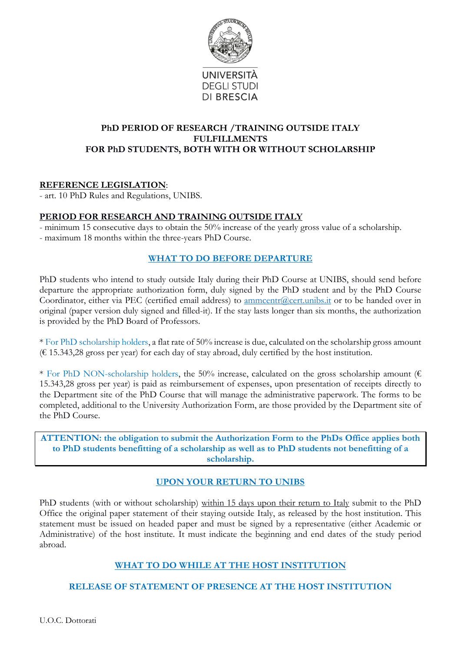

#### **PhD PERIOD OF RESEARCH /TRAINING OUTSIDE ITALY FULFILLMENTS FOR PhD STUDENTS, BOTH WITH OR WITHOUT SCHOLARSHIP**

### **REFERENCE LEGISLATION**:

- art. 10 PhD Rules and Regulations, UNIBS.

### **PERIOD FOR RESEARCH AND TRAINING OUTSIDE ITALY**

- minimum 15 consecutive days to obtain the 50% increase of the yearly gross value of a scholarship. - maximum 18 months within the three-years PhD Course.

#### **WHAT TO DO BEFORE DEPARTURE**

PhD students who intend to study outside Italy during their PhD Course at UNIBS, should send before departure the appropriate authorization form, duly signed by the PhD student and by the PhD Course Coordinator, either via PEC (certified email address) to [ammcentr@cert.unibs.it](mailto:ammcentr@cert.unibs.it) or to be handed over in original (paper version duly signed and filled-it). If the stay lasts longer than six months, the authorization is provided by the PhD Board of Professors.

\* For PhD scholarship holders, a flat rate of 50% increase is due, calculated on the scholarship gross amount  $(E 15.343,28 \text{ gross per year})$  for each day of stay abroad, duly certified by the host institution.

\* For PhD NON-scholarship holders, the 50% increase, calculated on the gross scholarship amount ( $\epsilon$ ) 15.343,28 gross per year) is paid as reimbursement of expenses, upon presentation of receipts directly to the Department site of the PhD Course that will manage the administrative paperwork. The forms to be completed, additional to the University Authorization Form, are those provided by the Department site of the PhD Course.

**ATTENTION: the obligation to submit the Authorization Form to the PhDs Office applies both to PhD students benefitting of a scholarship as well as to PhD students not benefitting of a scholarship.** 

# **UPON YOUR RETURN TO UNIBS**

PhD students (with or without scholarship) within 15 days upon their return to Italy submit to the PhD Office the original paper statement of their staying outside Italy, as released by the host institution. This statement must be issued on headed paper and must be signed by a representative (either Academic or Administrative) of the host institute. It must indicate the beginning and end dates of the study period abroad.

# **WHAT TO DO WHILE AT THE HOST INSTITUTION**

# **RELEASE OF STATEMENT OF PRESENCE AT THE HOST INSTITUTION**